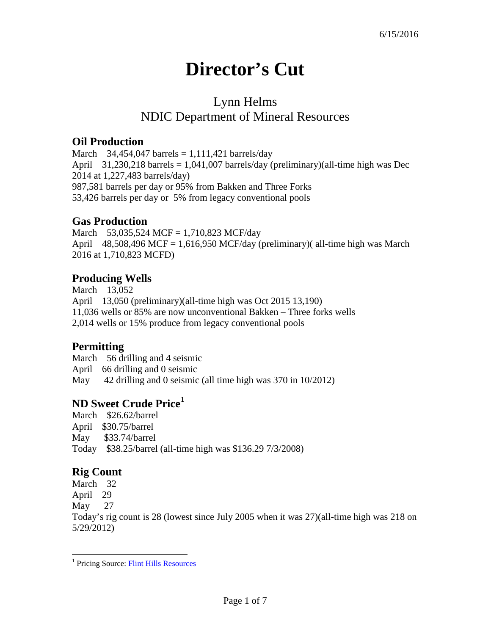# **Director's Cut**

# Lynn Helms NDIC Department of Mineral Resources

#### **Oil Production**

March  $34,454,047$  barrels = 1,111,421 barrels/day April 31,230,218 barrels = 1,041,007 barrels/day (preliminary)(all-time high was Dec 2014 at 1,227,483 barrels/day) 987,581 barrels per day or 95% from Bakken and Three Forks 53,426 barrels per day or 5% from legacy conventional pools

## **Gas Production**

March 53,035,524 MCF = 1,710,823 MCF/day April 48,508,496 MCF = 1,616,950 MCF/day (preliminary)( all-time high was March 2016 at 1,710,823 MCFD)

## **Producing Wells**

March 13,052 April 13,050 (preliminary)(all-time high was Oct 2015 13,190) 11,036 wells or 85% are now unconventional Bakken – Three forks wells 2,014 wells or 15% produce from legacy conventional pools

#### **Permitting**

March 56 drilling and 4 seismic April 66 drilling and 0 seismic May 42 drilling and 0 seismic (all time high was 370 in 10/2012)

#### **ND Sweet Crude Price[1](#page-0-0)**

March \$26.62/barrel April \$30.75/barrel May \$33.74/barrel Today \$38.25/barrel (all-time high was \$136.29 7/3/2008)

# **Rig Count**

March 32 April 29 May 27 Today's rig count is 28 (lowest since July 2005 when it was 27)(all-time high was 218 on 5/29/2012)

<span id="page-0-0"></span><sup>&</sup>lt;sup>1</sup> Pricing Source: **Flint Hills Resources**  $\overline{a}$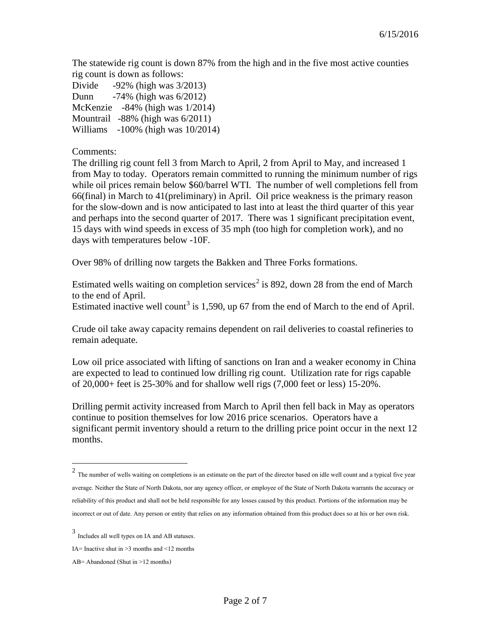The statewide rig count is down 87% from the high and in the five most active counties rig count is down as follows:

| Divide | $-92\%$ (high was $3/2013$ )            |
|--------|-----------------------------------------|
| Dunn   | $-74\%$ (high was $6/2012$ )            |
|        | McKenzie $-84\%$ (high was $1/2014$ )   |
|        | Mountrail $-88\%$ (high was $6/2011$ )  |
|        | Williams $-100\%$ (high was $10/2014$ ) |

Comments:

The drilling rig count fell 3 from March to April, 2 from April to May, and increased 1 from May to today. Operators remain committed to running the minimum number of rigs while oil prices remain below \$60/barrel WTI. The number of well completions fell from 66(final) in March to 41(preliminary) in April. Oil price weakness is the primary reason for the slow-down and is now anticipated to last into at least the third quarter of this year and perhaps into the second quarter of 2017. There was 1 significant precipitation event, 15 days with wind speeds in excess of 35 mph (too high for completion work), and no days with temperatures below -10F.

Over 98% of drilling now targets the Bakken and Three Forks formations.

Estimated wells waiting on completion services<sup>[2](#page-1-0)</sup> is 892, down 28 from the end of March to the end of April.

Estimated inactive well count<sup>[3](#page-1-1)</sup> is 1,590, up 67 from the end of March to the end of April.

Crude oil take away capacity remains dependent on rail deliveries to coastal refineries to remain adequate.

Low oil price associated with lifting of sanctions on Iran and a weaker economy in China are expected to lead to continued low drilling rig count. Utilization rate for rigs capable of 20,000+ feet is 25-30% and for shallow well rigs (7,000 feet or less) 15-20%.

Drilling permit activity increased from March to April then fell back in May as operators continue to position themselves for low 2016 price scenarios. Operators have a significant permit inventory should a return to the drilling price point occur in the next 12 months.

 $\overline{a}$ 

<span id="page-1-0"></span> $2$  The number of wells waiting on completions is an estimate on the part of the director based on idle well count and a typical five year average. Neither the State of North Dakota, nor any agency officer, or employee of the State of North Dakota warrants the accuracy or reliability of this product and shall not be held responsible for any losses caused by this product. Portions of the information may be incorrect or out of date. Any person or entity that relies on any information obtained from this product does so at his or her own risk.

<span id="page-1-1"></span><sup>3</sup> Includes all well types on IA and AB statuses.

IA= Inactive shut in  $\geq$ 3 months and  $\leq$ 12 months

AB= Abandoned (Shut in >12 months)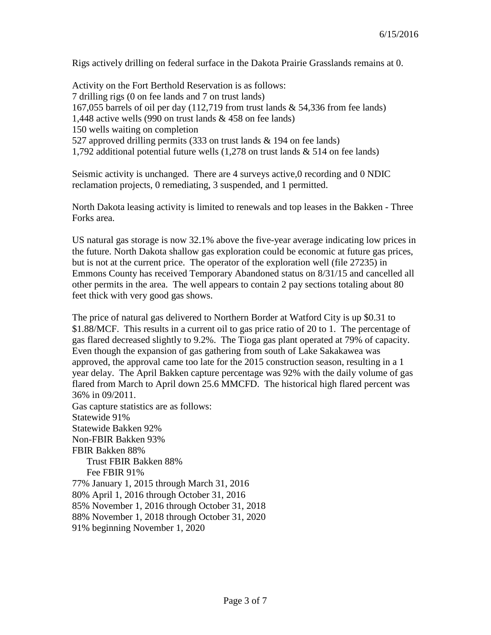Rigs actively drilling on federal surface in the Dakota Prairie Grasslands remains at 0.

Activity on the Fort Berthold Reservation is as follows: 7 drilling rigs (0 on fee lands and 7 on trust lands) 167,055 barrels of oil per day (112,719 from trust lands & 54,336 from fee lands) 1,448 active wells (990 on trust lands & 458 on fee lands) 150 wells waiting on completion 527 approved drilling permits (333 on trust lands & 194 on fee lands) 1,792 additional potential future wells (1,278 on trust lands & 514 on fee lands)

Seismic activity is unchanged. There are 4 surveys active,0 recording and 0 NDIC reclamation projects, 0 remediating, 3 suspended, and 1 permitted.

North Dakota leasing activity is limited to renewals and top leases in the Bakken - Three Forks area.

US natural gas storage is now 32.1% above the five-year average indicating low prices in the future. North Dakota shallow gas exploration could be economic at future gas prices, but is not at the current price. The operator of the exploration well (file 27235) in Emmons County has received Temporary Abandoned status on 8/31/15 and cancelled all other permits in the area. The well appears to contain 2 pay sections totaling about 80 feet thick with very good gas shows.

The price of natural gas delivered to Northern Border at Watford City is up \$0.31 to \$1.88/MCF. This results in a current oil to gas price ratio of 20 to 1. The percentage of gas flared decreased slightly to 9.2%. The Tioga gas plant operated at 79% of capacity. Even though the expansion of gas gathering from south of Lake Sakakawea was approved, the approval came too late for the 2015 construction season, resulting in a 1 year delay. The April Bakken capture percentage was 92% with the daily volume of gas flared from March to April down 25.6 MMCFD. The historical high flared percent was 36% in 09/2011. Gas capture statistics are as follows: Statewide 91% Statewide Bakken 92% Non-FBIR Bakken 93%

FBIR Bakken 88%

Trust FBIR Bakken 88%

Fee FBIR 91%

77% January 1, 2015 through March 31, 2016

80% April 1, 2016 through October 31, 2016

85% November 1, 2016 through October 31, 2018

88% November 1, 2018 through October 31, 2020

91% beginning November 1, 2020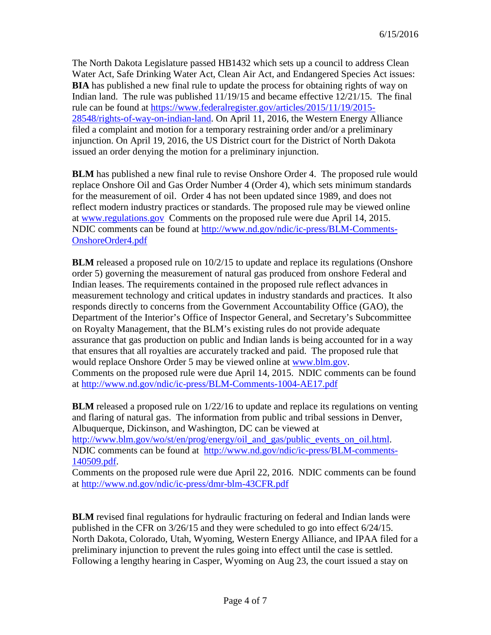The North Dakota Legislature passed HB1432 which sets up a council to address Clean Water Act, Safe Drinking Water Act, Clean Air Act, and Endangered Species Act issues: **BIA** has published a new final rule to update the process for obtaining rights of way on Indian land. The rule was published 11/19/15 and became effective 12/21/15. The final rule can be found at [https://www.federalregister.gov/articles/2015/11/19/2015-](https://www.federalregister.gov/articles/2015/11/19/2015-28548/rights-of-way-on-indian-land) [28548/rights-of-way-on-indian-land.](https://www.federalregister.gov/articles/2015/11/19/2015-28548/rights-of-way-on-indian-land) On April 11, 2016, the Western Energy Alliance filed a complaint and motion for a temporary restraining order and/or a preliminary injunction. On April 19, 2016, the US District court for the District of North Dakota issued an order denying the motion for a preliminary injunction.

**BLM** has published a new final rule to revise Onshore Order 4. The proposed rule would replace Onshore Oil and Gas Order Number 4 (Order 4), which sets minimum standards for the measurement of oil. Order 4 has not been updated since 1989, and does not reflect modern industry practices or standards. The proposed rule may be viewed online at [www.regulations.gov](http://www.regulations.gov/) Comments on the proposed rule were due April 14, 2015. NDIC comments can be found at [http://www.nd.gov/ndic/ic-press/BLM-Comments-](http://www.nd.gov/ndic/ic-press/BLM-Comments-OnshoreOrder4.pdf)[OnshoreOrder4.pdf](http://www.nd.gov/ndic/ic-press/BLM-Comments-OnshoreOrder4.pdf)

**BLM** released a proposed rule on  $10/2/15$  to update and replace its regulations (Onshore order 5) governing the measurement of natural gas produced from onshore Federal and Indian leases. The requirements contained in the proposed rule reflect advances in measurement technology and critical updates in industry standards and practices. It also responds directly to concerns from the Government Accountability Office (GAO), the Department of the Interior's Office of Inspector General, and Secretary's Subcommittee on Royalty Management, that the BLM's existing rules do not provide adequate assurance that gas production on public and Indian lands is being accounted for in a way that ensures that all royalties are accurately tracked and paid. The proposed rule that would replace Onshore Order 5 may be viewed online at [www.blm.gov.](http://www.blm.gov/) Comments on the proposed rule were due April 14, 2015. NDIC comments can be found at<http://www.nd.gov/ndic/ic-press/BLM-Comments-1004-AE17.pdf>

**BLM** released a proposed rule on 1/22/16 to update and replace its regulations on venting and flaring of natural gas. The information from public and tribal sessions in Denver, Albuquerque, Dickinson, and Washington, DC can be viewed at [http://www.blm.gov/wo/st/en/prog/energy/oil\\_and\\_gas/public\\_events\\_on\\_oil.html.](http://www.blm.gov/wo/st/en/prog/energy/oil_and_gas/public_events_on_oil.html) NDIC comments can be found at [http://www.nd.gov/ndic/ic-press/BLM-comments-](http://www.nd.gov/ndic/ic-press/BLM-comments-140509.pdf)[140509.pdf.](http://www.nd.gov/ndic/ic-press/BLM-comments-140509.pdf)

Comments on the proposed rule were due April 22, 2016. NDIC comments can be found at<http://www.nd.gov/ndic/ic-press/dmr-blm-43CFR.pdf>

**BLM** revised final regulations for hydraulic fracturing on federal and Indian lands were published in the CFR on 3/26/15 and they were scheduled to go into effect 6/24/15. North Dakota, Colorado, Utah, Wyoming, Western Energy Alliance, and IPAA filed for a preliminary injunction to prevent the rules going into effect until the case is settled. Following a lengthy hearing in Casper, Wyoming on Aug 23, the court issued a stay on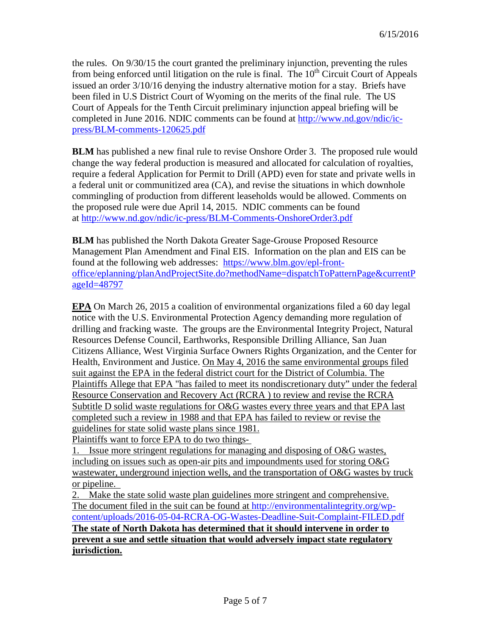the rules. On 9/30/15 the court granted the preliminary injunction, preventing the rules from being enforced until litigation on the rule is final. The  $10<sup>th</sup>$  Circuit Court of Appeals issued an order 3/10/16 denying the industry alternative motion for a stay. Briefs have been filed in U.S District Court of Wyoming on the merits of the final rule. The US Court of Appeals for the Tenth Circuit preliminary injunction appeal briefing will be completed in June 2016. NDIC comments can be found at [http://www.nd.gov/ndic/ic](http://www.nd.gov/ndic/ic-press/BLM-comments-120625.pdf)[press/BLM-comments-120625.pdf](http://www.nd.gov/ndic/ic-press/BLM-comments-120625.pdf)

**BLM** has published a new final rule to revise Onshore Order 3. The proposed rule would change the way federal production is measured and allocated for calculation of royalties, require a federal Application for Permit to Drill (APD) even for state and private wells in a federal unit or communitized area (CA), and revise the situations in which downhole commingling of production from different leaseholds would be allowed. Comments on the proposed rule were due April 14, 2015. NDIC comments can be found at <http://www.nd.gov/ndic/ic-press/BLM-Comments-OnshoreOrder3.pdf>

**BLM** has published the North Dakota Greater Sage-Grouse Proposed Resource Management Plan Amendment and Final EIS. Information on the plan and EIS can be found at the following web addresses: [https://www.blm.gov/epl-front](https://www.blm.gov/epl-front-office/eplanning/planAndProjectSite.do?methodName=dispatchToPatternPage¤tPageId=48797)[office/eplanning/planAndProjectSite.do?methodName=dispatchToPatternPage&currentP](https://www.blm.gov/epl-front-office/eplanning/planAndProjectSite.do?methodName=dispatchToPatternPage¤tPageId=48797) [ageId=48797](https://www.blm.gov/epl-front-office/eplanning/planAndProjectSite.do?methodName=dispatchToPatternPage¤tPageId=48797)

**EPA** On March 26, 2015 a coalition of environmental organizations filed a 60 day legal notice with the U.S. Environmental Protection Agency demanding more regulation of drilling and fracking waste. The groups are the Environmental Integrity Project, Natural Resources Defense Council, Earthworks, Responsible Drilling Alliance, San Juan Citizens Alliance, West Virginia Surface Owners Rights Organization, and the Center for Health, Environment and Justice. On May 4, 2016 the same environmental groups filed suit against the EPA in the federal district court for the District of Columbia. The Plaintiffs Allege that EPA "has failed to meet its nondiscretionary duty" under the federal Resource Conservation and Recovery Act (RCRA ) to review and revise the RCRA Subtitle D solid waste regulations for O&G wastes every three years and that EPA last completed such a review in 1988 and that EPA has failed to review or revise the guidelines for state solid waste plans since 1981.

Plaintiffs want to force EPA to do two things-

1. Issue more stringent regulations for managing and disposing of O&G wastes, including on issues such as open-air pits and impoundments used for storing O&G wastewater, underground injection wells, and the transportation of O&G wastes by truck or pipeline.

2. Make the state solid waste plan guidelines more stringent and comprehensive. The document filed in the suit can be found at [http://environmentalintegrity.org/wp](http://environmentalintegrity.org/wp-content/uploads/2016-05-04-RCRA-OG-Wastes-Deadline-Suit-Complaint-FILED.pdf)[content/uploads/2016-05-04-RCRA-OG-Wastes-Deadline-Suit-Complaint-FILED.pdf](http://environmentalintegrity.org/wp-content/uploads/2016-05-04-RCRA-OG-Wastes-Deadline-Suit-Complaint-FILED.pdf) **The state of North Dakota has determined that it should intervene in order to prevent a sue and settle situation that would adversely impact state regulatory jurisdiction.**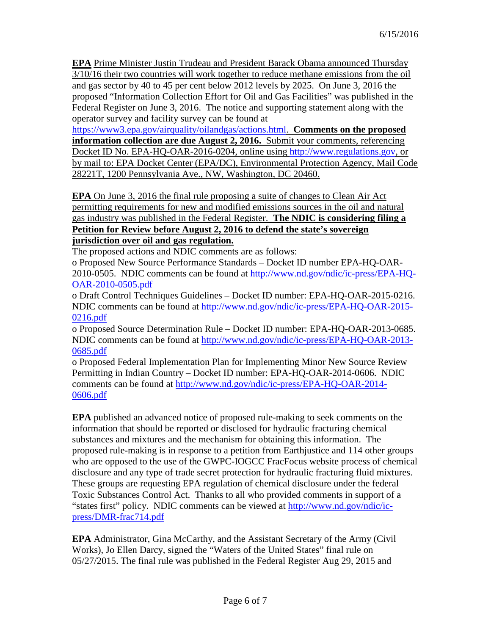**EPA** Prime Minister Justin Trudeau and President Barack Obama announced Thursday 3/10/16 their two countries will work together to reduce methane emissions from the oil and gas sector by 40 to 45 per cent below 2012 levels by 2025. On June 3, 2016 the proposed "Information Collection Effort for Oil and Gas Facilities" was published in the Federal Register on June 3, 2016. The notice and supporting statement along with the operator survey and facility survey can be found at

[https://www3.epa.gov/airquality/oilandgas/actions.html.](https://www3.epa.gov/airquality/oilandgas/actions.html) **Comments on the proposed information collection are due August 2, 2016.** Submit your comments, referencing Docket ID No. EPA-HQ-OAR-2016-0204, online using [http://www.regulations.gov,](http://www.regulations.gov/) or by mail to: EPA Docket Center (EPA/DC), Environmental Protection Agency, Mail Code 28221T, 1200 Pennsylvania Ave., NW, Washington, DC 20460.

**EPA** On June 3, 2016 the final rule proposing a suite of changes to Clean Air Act permitting requirements for new and modified emissions sources in the oil and natural gas industry was published in the Federal Register. **The NDIC is considering filing a Petition for Review before August 2, 2016 to defend the state's sovereign jurisdiction over oil and gas regulation.** 

The proposed actions and NDIC comments are as follows:

o Proposed New Source Performance Standards – Docket ID number EPA-HQ-OAR-2010-0505. NDIC comments can be found at [http://www.nd.gov/ndic/ic-press/EPA-HQ-](http://www.nd.gov/ndic/ic-press/EPA-HQ-OAR-2010-0505.pdf)[OAR-2010-0505.pdf](http://www.nd.gov/ndic/ic-press/EPA-HQ-OAR-2010-0505.pdf)

o Draft Control Techniques Guidelines – Docket ID number: EPA-HQ-OAR-2015-0216. NDIC comments can be found at [http://www.nd.gov/ndic/ic-press/EPA-HQ-OAR-2015-](http://www.nd.gov/ndic/ic-press/EPA-HQ-OAR-2015-0216.pdf) [0216.pdf](http://www.nd.gov/ndic/ic-press/EPA-HQ-OAR-2015-0216.pdf)

o Proposed Source Determination Rule – Docket ID number: EPA-HQ-OAR-2013-0685. NDIC comments can be found at [http://www.nd.gov/ndic/ic-press/EPA-HQ-OAR-2013-](http://www.nd.gov/ndic/ic-press/EPA-HQ-OAR-2013-0685.pdf) [0685.pdf](http://www.nd.gov/ndic/ic-press/EPA-HQ-OAR-2013-0685.pdf)

o Proposed Federal Implementation Plan for Implementing Minor New Source Review Permitting in Indian Country – Docket ID number: EPA-HQ-OAR-2014-0606. NDIC comments can be found at [http://www.nd.gov/ndic/ic-press/EPA-HQ-OAR-2014-](http://www.nd.gov/ndic/ic-press/EPA-HQ-OAR-2014-0606.pdf) [0606.pdf](http://www.nd.gov/ndic/ic-press/EPA-HQ-OAR-2014-0606.pdf)

**EPA** published an advanced notice of proposed rule-making to seek comments on the information that should be reported or disclosed for hydraulic fracturing chemical substances and mixtures and the mechanism for obtaining this information. The proposed rule-making is in response to a petition from Earthjustice and 114 other groups who are opposed to the use of the GWPC-IOGCC FracFocus website process of chemical disclosure and any type of trade secret protection for hydraulic fracturing fluid mixtures. These groups are requesting EPA regulation of chemical disclosure under the federal Toxic Substances Control Act. Thanks to all who provided comments in support of a "states first" policy. NDIC comments can be viewed at [http://www.nd.gov/ndic/ic](http://www.nd.gov/ndic/ic-press/DMR-frac714.pdf)[press/DMR-frac714.pdf](http://www.nd.gov/ndic/ic-press/DMR-frac714.pdf)

**EPA** Administrator, Gina McCarthy, and the Assistant Secretary of the Army (Civil Works), Jo Ellen Darcy, signed the "Waters of the United States" final rule on 05/27/2015. The final rule was published in the Federal Register Aug 29, 2015 and